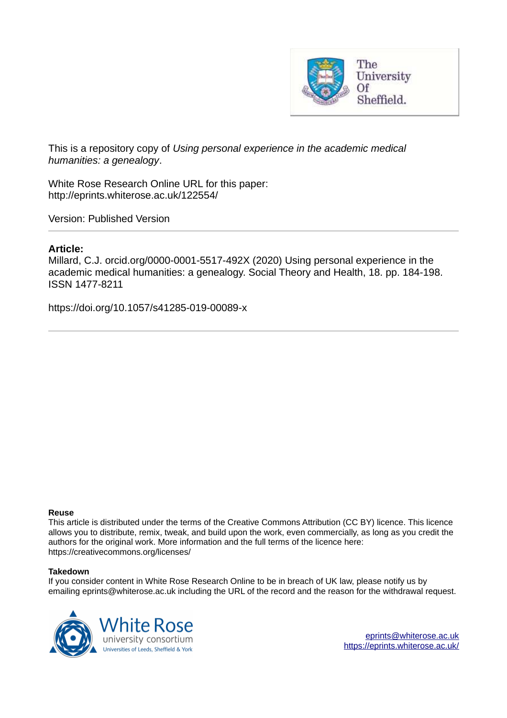

This is a repository copy of *Using personal experience in the academic medical humanities: a genealogy*.

White Rose Research Online URL for this paper: http://eprints.whiterose.ac.uk/122554/

Version: Published Version

## **Article:**

Millard, C.J. orcid.org/0000-0001-5517-492X (2020) Using personal experience in the academic medical humanities: a genealogy. Social Theory and Health, 18. pp. 184-198. ISSN 1477-8211

https://doi.org/10.1057/s41285-019-00089-x

## **Reuse**

This article is distributed under the terms of the Creative Commons Attribution (CC BY) licence. This licence allows you to distribute, remix, tweak, and build upon the work, even commercially, as long as you credit the authors for the original work. More information and the full terms of the licence here: https://creativecommons.org/licenses/

## **Takedown**

If you consider content in White Rose Research Online to be in breach of UK law, please notify us by emailing eprints@whiterose.ac.uk including the URL of the record and the reason for the withdrawal request.



[eprints@whiterose.ac.uk](mailto:eprints@whiterose.ac.uk) <https://eprints.whiterose.ac.uk/>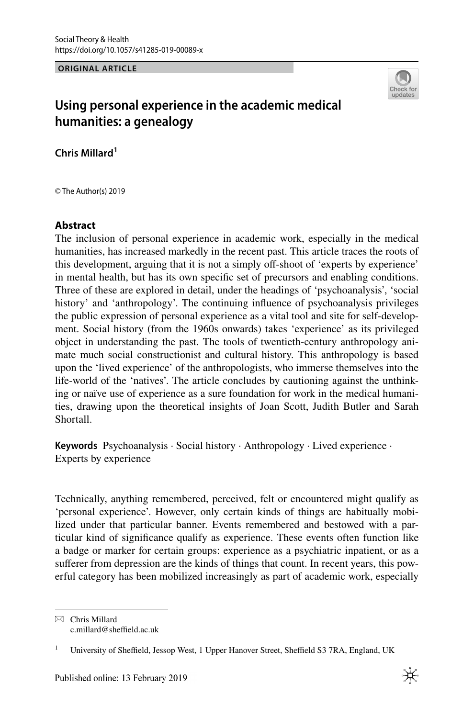**ORIGINAL ARTICLE**



# **Using personal experience in the academic medical humanities: a genealogy**

**Chris Millard<sup>1</sup>**

© The Author(s) 2019

## **Abstract**

The inclusion of personal experience in academic work, especially in the medical humanities, has increased markedly in the recent past. This article traces the roots of this development, arguing that it is not a simply off-shoot of 'experts by experience' in mental health, but has its own speciic set of precursors and enabling conditions. Three of these are explored in detail, under the headings of 'psychoanalysis', 'social history' and 'anthropology'. The continuing influence of psychoanalysis privileges the public expression of personal experience as a vital tool and site for self-development. Social history (from the 1960s onwards) takes 'experience' as its privileged object in understanding the past. The tools of twentieth-century anthropology animate much social constructionist and cultural history. This anthropology is based upon the 'lived experience' of the anthropologists, who immerse themselves into the life-world of the 'natives'. The article concludes by cautioning against the unthinking or naïve use of experience as a sure foundation for work in the medical humanities, drawing upon the theoretical insights of Joan Scott, Judith Butler and Sarah Shortall.

**Keywords** Psychoanalysis · Social history · Anthropology · Lived experience · Experts by experience

Technically, anything remembered, perceived, felt or encountered might qualify as 'personal experience'. However, only certain kinds of things are habitually mobilized under that particular banner. Events remembered and bestowed with a particular kind of significance qualify as experience. These events often function like a badge or marker for certain groups: experience as a psychiatric inpatient, or as a suferer from depression are the kinds of things that count. In recent years, this powerful category has been mobilized increasingly as part of academic work, especially

 $\boxtimes$  Chris Millard c.millard@sheffield.ac.uk

<sup>1</sup> University of Sheffield, Jessop West, 1 Upper Hanover Street, Sheffield S3 7RA, England, UK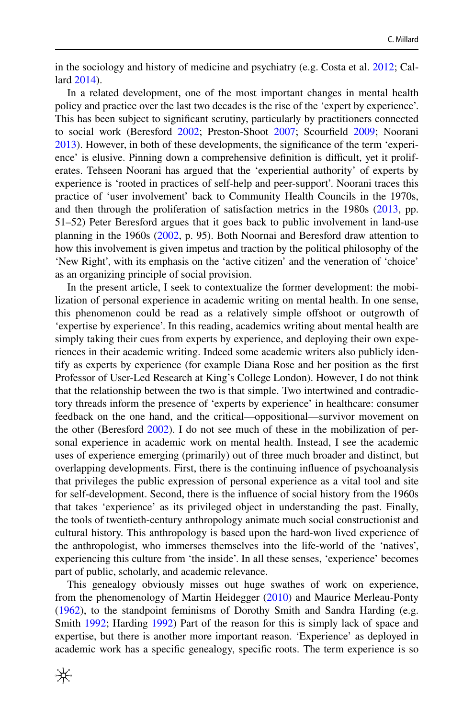in the sociology and history of medicine and psychiatry (e.g. Costa et al. [2012;](#page-13-0) Callard [2014](#page-13-1)).

In a related development, one of the most important changes in mental health policy and practice over the last two decades is the rise of the 'expert by experience'. This has been subject to significant scrutiny, particularly by practitioners connected to social work (Beresford [2002;](#page-13-2) Preston-Shoot [2007](#page-14-0); Scourield [2009;](#page-14-1) Noorani [2013](#page-14-2)). However, in both of these developments, the signiicance of the term 'experience' is elusive. Pinning down a comprehensive definition is difficult, yet it proliferates. Tehseen Noorani has argued that the 'experiential authority' of experts by experience is 'rooted in practices of self-help and peer-support'. Noorani traces this practice of 'user involvement' back to Community Health Councils in the 1970s, and then through the proliferation of satisfaction metrics in the 1980s [\(2013](#page-14-2), pp. 51–52) Peter Beresford argues that it goes back to public involvement in land-use planning in the 1960s ([2002,](#page-13-2) p. 95). Both Noornai and Beresford draw attention to how this involvement is given impetus and traction by the political philosophy of the 'New Right', with its emphasis on the 'active citizen' and the veneration of 'choice' as an organizing principle of social provision.

In the present article, I seek to contextualize the former development: the mobilization of personal experience in academic writing on mental health. In one sense, this phenomenon could be read as a relatively simple ofshoot or outgrowth of 'expertise by experience'. In this reading, academics writing about mental health are simply taking their cues from experts by experience, and deploying their own experiences in their academic writing. Indeed some academic writers also publicly identify as experts by experience (for example Diana Rose and her position as the first Professor of User-Led Research at King's College London). However, I do not think that the relationship between the two is that simple. Two intertwined and contradictory threads inform the presence of 'experts by experience' in healthcare: consumer feedback on the one hand, and the critical—oppositional—survivor movement on the other (Beresford [2002\)](#page-13-2). I do not see much of these in the mobilization of personal experience in academic work on mental health. Instead, I see the academic uses of experience emerging (primarily) out of three much broader and distinct, but overlapping developments. First, there is the continuing inluence of psychoanalysis that privileges the public expression of personal experience as a vital tool and site for self-development. Second, there is the inluence of social history from the 1960s that takes 'experience' as its privileged object in understanding the past. Finally, the tools of twentieth-century anthropology animate much social constructionist and cultural history. This anthropology is based upon the hard-won lived experience of the anthropologist, who immerses themselves into the life-world of the 'natives', experiencing this culture from 'the inside'. In all these senses, 'experience' becomes part of public, scholarly, and academic relevance.

This genealogy obviously misses out huge swathes of work on experience, from the phenomenology of Martin Heidegger [\(2010](#page-13-3)) and Maurice Merleau-Ponty [\(1962](#page-13-4)), to the standpoint feminisms of Dorothy Smith and Sandra Harding (e.g. Smith [1992](#page-14-3); Harding [1992\)](#page-13-5) Part of the reason for this is simply lack of space and expertise, but there is another more important reason. 'Experience' as deployed in academic work has a specific genealogy, specific roots. The term experience is so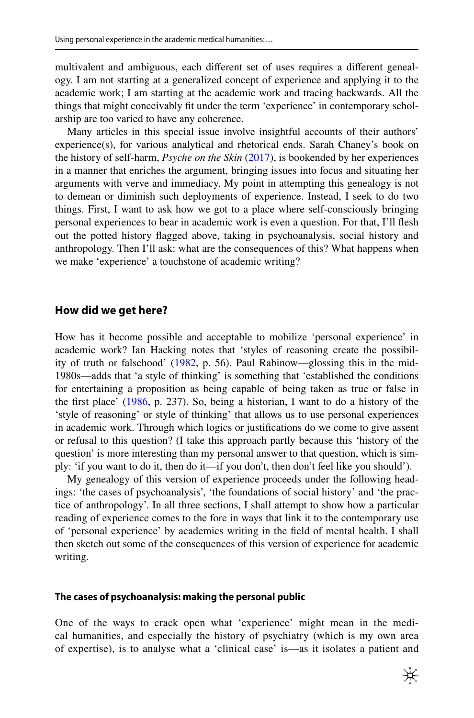multivalent and ambiguous, each diferent set of uses requires a diferent genealogy. I am not starting at a generalized concept of experience and applying it to the academic work; I am starting at the academic work and tracing backwards. All the things that might conceivably it under the term 'experience' in contemporary scholarship are too varied to have any coherence.

Many articles in this special issue involve insightful accounts of their authors' experience(s), for various analytical and rhetorical ends. Sarah Chaney's book on the history of self-harm, *Psyche on the Skin* [\(2017](#page-13-6)), is bookended by her experiences in a manner that enriches the argument, bringing issues into focus and situating her arguments with verve and immediacy. My point in attempting this genealogy is not to demean or diminish such deployments of experience. Instead, I seek to do two things. First, I want to ask how we got to a place where self-consciously bringing personal experiences to bear in academic work is even a question. For that, I'll flesh out the potted history flagged above, taking in psychoanalysis, social history and anthropology. Then I'll ask: what are the consequences of this? What happens when we make 'experience' a touchstone of academic writing?

#### **How did we get here?**

How has it become possible and acceptable to mobilize 'personal experience' in academic work? Ian Hacking notes that 'styles of reasoning create the possibility of truth or falsehood' ([1982,](#page-13-7) p. 56). Paul Rabinow—glossing this in the mid-1980s—adds that 'a style of thinking' is something that 'established the conditions for entertaining a proposition as being capable of being taken as true or false in the irst place' [\(1986](#page-14-4), p. 237). So, being a historian, I want to do a history of the 'style of reasoning' or style of thinking' that allows us to use personal experiences in academic work. Through which logics or justifications do we come to give assent or refusal to this question? (I take this approach partly because this 'history of the question' is more interesting than my personal answer to that question, which is simply: 'if you want to do it, then do it—if you don't, then don't feel like you should').

My genealogy of this version of experience proceeds under the following headings: 'the cases of psychoanalysis', 'the foundations of social history' and 'the practice of anthropology'. In all three sections, I shall attempt to show how a particular reading of experience comes to the fore in ways that link it to the contemporary use of 'personal experience' by academics writing in the ield of mental health. I shall then sketch out some of the consequences of this version of experience for academic writing.

#### **The cases of psychoanalysis: making the personal public**

One of the ways to crack open what 'experience' might mean in the medical humanities, and especially the history of psychiatry (which is my own area of expertise), is to analyse what a 'clinical case' is—as it isolates a patient and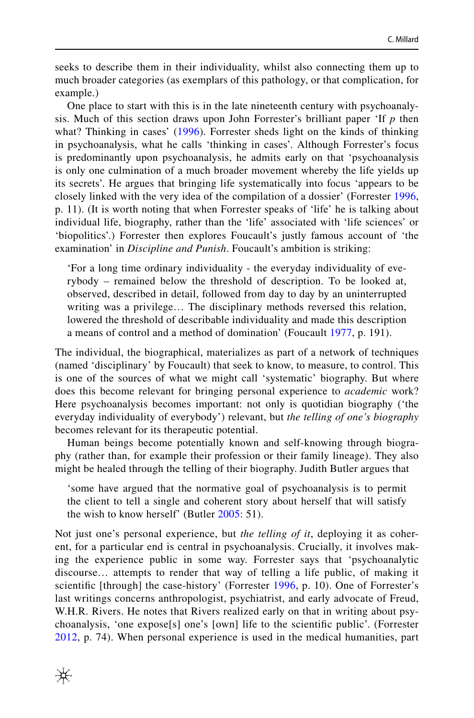seeks to describe them in their individuality, whilst also connecting them up to much broader categories (as exemplars of this pathology, or that complication, for example.)

One place to start with this is in the late nineteenth century with psychoanalysis. Much of this section draws upon John Forrester's brilliant paper 'If *p* then what? Thinking in cases' ([1996](#page-13-8)). Forrester sheds light on the kinds of thinking in psychoanalysis, what he calls 'thinking in cases'. Although Forrester's focus is predominantly upon psychoanalysis, he admits early on that 'psychoanalysis is only one culmination of a much broader movement whereby the life yields up its secrets'. He argues that bringing life systematically into focus 'appears to be closely linked with the very idea of the compilation of a dossier' (Forrester [1996,](#page-13-8) p. 11). (It is worth noting that when Forrester speaks of 'life' he is talking about individual life, biography, rather than the 'life' associated with 'life sciences' or 'biopolitics'.) Forrester then explores Foucault's justly famous account of 'the examination' in *Discipline and Punish*. Foucault's ambition is striking:

'For a long time ordinary individuality - the everyday individuality of everybody – remained below the threshold of description. To be looked at, observed, described in detail, followed from day to day by an uninterrupted writing was a privilege… The disciplinary methods reversed this relation, lowered the threshold of describable individuality and made this description a means of control and a method of domination' (Foucault [1977](#page-13-9), p. 191).

The individual, the biographical, materializes as part of a network of techniques (named 'disciplinary' by Foucault) that seek to know, to measure, to control. This is one of the sources of what we might call 'systematic' biography. But where does this become relevant for bringing personal experience to *academic* work? Here psychoanalysis becomes important: not only is quotidian biography ('the everyday individuality of everybody') relevant, but *the telling of one's biography* becomes relevant for its therapeutic potential.

Human beings become potentially known and self-knowing through biography (rather than, for example their profession or their family lineage). They also might be healed through the telling of their biography. Judith Butler argues that

'some have argued that the normative goal of psychoanalysis is to permit the client to tell a single and coherent story about herself that will satisfy the wish to know herself' (Butler [2005:](#page-13-10) 51).

Not just one's personal experience, but *the telling of it*, deploying it as coherent, for a particular end is central in psychoanalysis. Crucially, it involves making the experience public in some way. Forrester says that 'psychoanalytic discourse… attempts to render that way of telling a life public, of making it scientific [through] the case-history' (Forrester [1996](#page-13-8), p. 10). One of Forrester's last writings concerns anthropologist, psychiatrist, and early advocate of Freud, W.H.R. Rivers. He notes that Rivers realized early on that in writing about psychoanalysis, 'one expose[s] one's [own] life to the scientific public'. (Forrester [2012,](#page-13-11) p. 74). When personal experience is used in the medical humanities, part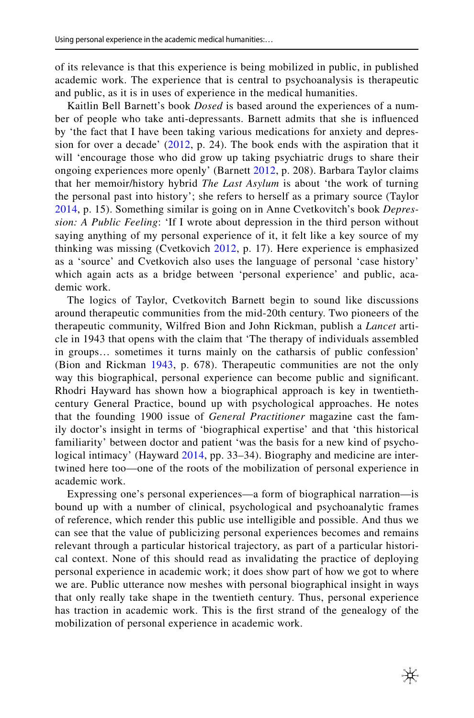of its relevance is that this experience is being mobilized in public, in published academic work. The experience that is central to psychoanalysis is therapeutic and public, as it is in uses of experience in the medical humanities.

Kaitlin Bell Barnett's book *Dosed* is based around the experiences of a number of people who take anti-depressants. Barnett admits that she is inluenced by 'the fact that I have been taking various medications for anxiety and depression for over a decade'  $(2012, p. 24)$  $(2012, p. 24)$  $(2012, p. 24)$ . The book ends with the aspiration that it will 'encourage those who did grow up taking psychiatric drugs to share their ongoing experiences more openly' (Barnett [2012,](#page-13-12) p. 208). Barbara Taylor claims that her memoir/history hybrid *The Last Asylum* is about 'the work of turning the personal past into history'; she refers to herself as a primary source (Taylor [2014,](#page-14-5) p. 15). Something similar is going on in Anne Cvetkovitch's book *Depression: A Public Feeling*: 'If I wrote about depression in the third person without saying anything of my personal experience of it, it felt like a key source of my thinking was missing (Cvetkovich [2012](#page-13-13), p. 17). Here experience is emphasized as a 'source' and Cvetkovich also uses the language of personal 'case history' which again acts as a bridge between 'personal experience' and public, academic work.

The logics of Taylor, Cvetkovitch Barnett begin to sound like discussions around therapeutic communities from the mid-20th century. Two pioneers of the therapeutic community, Wilfred Bion and John Rickman, publish a *Lancet* article in 1943 that opens with the claim that 'The therapy of individuals assembled in groups… sometimes it turns mainly on the catharsis of public confession' (Bion and Rickman [1943,](#page-13-14) p. 678). Therapeutic communities are not the only way this biographical, personal experience can become public and significant. Rhodri Hayward has shown how a biographical approach is key in twentiethcentury General Practice, bound up with psychological approaches. He notes that the founding 1900 issue of *General Practitioner* magazine cast the family doctor's insight in terms of 'biographical expertise' and that 'this historical familiarity' between doctor and patient 'was the basis for a new kind of psychological intimacy' (Hayward [2014](#page-13-15), pp. 33–34). Biography and medicine are intertwined here too—one of the roots of the mobilization of personal experience in academic work.

Expressing one's personal experiences—a form of biographical narration—is bound up with a number of clinical, psychological and psychoanalytic frames of reference, which render this public use intelligible and possible. And thus we can see that the value of publicizing personal experiences becomes and remains relevant through a particular historical trajectory, as part of a particular historical context. None of this should read as invalidating the practice of deploying personal experience in academic work; it does show part of how we got to where we are. Public utterance now meshes with personal biographical insight in ways that only really take shape in the twentieth century. Thus, personal experience has traction in academic work. This is the first strand of the genealogy of the mobilization of personal experience in academic work.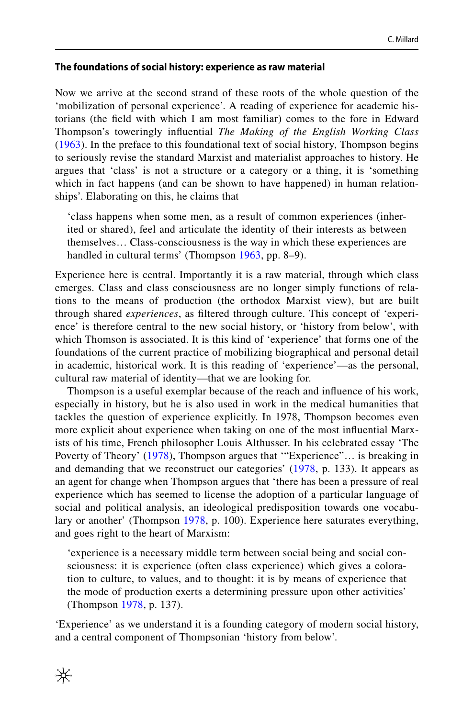#### **The foundations of social history: experience as raw material**

Now we arrive at the second strand of these roots of the whole question of the 'mobilization of personal experience'. A reading of experience for academic historians (the ield with which I am most familiar) comes to the fore in Edward Thompson's toweringly inluential *The Making of the English Working Class* [\(1963](#page-14-6)). In the preface to this foundational text of social history, Thompson begins to seriously revise the standard Marxist and materialist approaches to history. He argues that 'class' is not a structure or a category or a thing, it is 'something which in fact happens (and can be shown to have happened) in human relationships'. Elaborating on this, he claims that

'class happens when some men, as a result of common experiences (inherited or shared), feel and articulate the identity of their interests as between themselves… Class-consciousness is the way in which these experiences are handled in cultural terms' (Thompson [1963](#page-14-6), pp. 8–9).

Experience here is central. Importantly it is a raw material, through which class emerges. Class and class consciousness are no longer simply functions of relations to the means of production (the orthodox Marxist view), but are built through shared *experiences*, as iltered through culture. This concept of 'experience' is therefore central to the new social history, or 'history from below', with which Thomson is associated. It is this kind of 'experience' that forms one of the foundations of the current practice of mobilizing biographical and personal detail in academic, historical work. It is this reading of 'experience'—as the personal, cultural raw material of identity—that we are looking for.

Thompson is a useful exemplar because of the reach and inluence of his work, especially in history, but he is also used in work in the medical humanities that tackles the question of experience explicitly. In 1978, Thompson becomes even more explicit about experience when taking on one of the most inluential Marxists of his time, French philosopher Louis Althusser. In his celebrated essay 'The Poverty of Theory' [\(1978\)](#page-14-7), Thompson argues that '"Experience"… is breaking in and demanding that we reconstruct our categories' ([1978,](#page-14-7) p. 133). It appears as an agent for change when Thompson argues that 'there has been a pressure of real experience which has seemed to license the adoption of a particular language of social and political analysis, an ideological predisposition towards one vocabulary or another' (Thompson [1978,](#page-14-7) p. 100). Experience here saturates everything, and goes right to the heart of Marxism:

'experience is a necessary middle term between social being and social consciousness: it is experience (often class experience) which gives a coloration to culture, to values, and to thought: it is by means of experience that the mode of production exerts a determining pressure upon other activities' (Thompson [1978,](#page-14-7) p. 137).

'Experience' as we understand it is a founding category of modern social history, and a central component of Thompsonian 'history from below'.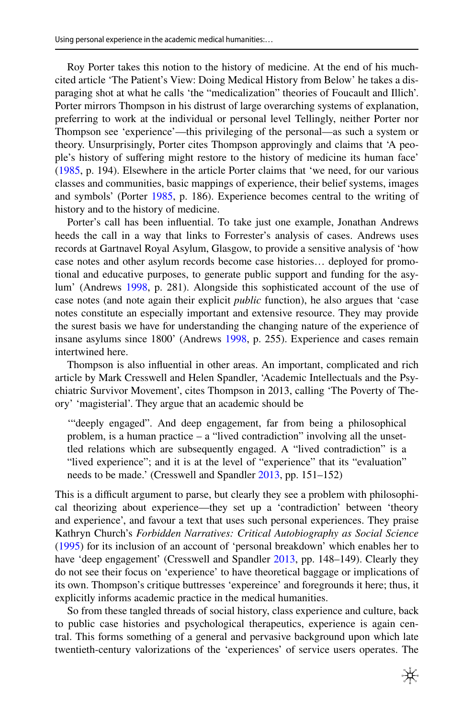Roy Porter takes this notion to the history of medicine. At the end of his muchcited article 'The Patient's View: Doing Medical History from Below' he takes a disparaging shot at what he calls 'the "medicalization" theories of Foucault and Illich'. Porter mirrors Thompson in his distrust of large overarching systems of explanation, preferring to work at the individual or personal level Tellingly, neither Porter nor Thompson see 'experience'—this privileging of the personal—as such a system or theory. Unsurprisingly, Porter cites Thompson approvingly and claims that 'A people's history of sufering might restore to the history of medicine its human face' [\(1985](#page-14-8), p. 194). Elsewhere in the article Porter claims that 'we need, for our various classes and communities, basic mappings of experience, their belief systems, images and symbols' (Porter [1985](#page-14-8), p. 186). Experience becomes central to the writing of history and to the history of medicine.

Porter's call has been influential. To take just one example, Jonathan Andrews heeds the call in a way that links to Forrester's analysis of cases. Andrews uses records at Gartnavel Royal Asylum, Glasgow, to provide a sensitive analysis of 'how case notes and other asylum records become case histories… deployed for promotional and educative purposes, to generate public support and funding for the asylum' (Andrews [1998,](#page-13-16) p. 281). Alongside this sophisticated account of the use of case notes (and note again their explicit *public* function), he also argues that 'case notes constitute an especially important and extensive resource. They may provide the surest basis we have for understanding the changing nature of the experience of insane asylums since 1800' (Andrews [1998,](#page-13-16) p. 255). Experience and cases remain intertwined here.

Thompson is also influential in other areas. An important, complicated and rich article by Mark Cresswell and Helen Spandler, 'Academic Intellectuals and the Psychiatric Survivor Movement', cites Thompson in 2013, calling 'The Poverty of Theory' 'magisterial'. They argue that an academic should be

'"deeply engaged". And deep engagement, far from being a philosophical problem, is a human practice – a "lived contradiction" involving all the unsettled relations which are subsequently engaged. A "lived contradiction" is a "lived experience"; and it is at the level of "experience" that its "evaluation" needs to be made.' (Cresswell and Spandler [2013,](#page-13-17) pp. 151–152)

This is a difficult argument to parse, but clearly they see a problem with philosophical theorizing about experience—they set up a 'contradiction' between 'theory and experience', and favour a text that uses such personal experiences. They praise Kathryn Church's *Forbidden Narratives: Critical Autobiography as Social Science* [\(1995](#page-13-18)) for its inclusion of an account of 'personal breakdown' which enables her to have 'deep engagement' (Cresswell and Spandler [2013,](#page-13-17) pp. 148-149). Clearly they do not see their focus on 'experience' to have theoretical baggage or implications of its own. Thompson's critique buttresses 'expereince' and foregrounds it here; thus, it explicitly informs academic practice in the medical humanities.

So from these tangled threads of social history, class experience and culture, back to public case histories and psychological therapeutics, experience is again central. This forms something of a general and pervasive background upon which late twentieth-century valorizations of the 'experiences' of service users operates. The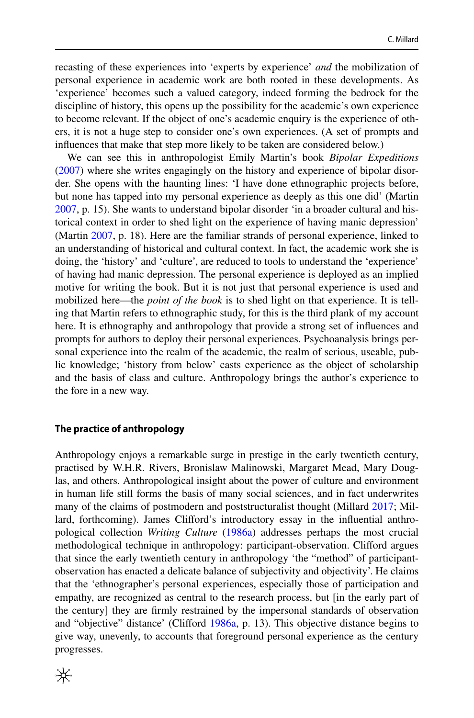recasting of these experiences into 'experts by experience' *and* the mobilization of personal experience in academic work are both rooted in these developments. As 'experience' becomes such a valued category, indeed forming the bedrock for the discipline of history, this opens up the possibility for the academic's own experience to become relevant. If the object of one's academic enquiry is the experience of others, it is not a huge step to consider one's own experiences. (A set of prompts and influences that make that step more likely to be taken are considered below.)

We can see this in anthropologist Emily Martin's book *Bipolar Expeditions* [\(2007](#page-13-19)) where she writes engagingly on the history and experience of bipolar disorder. She opens with the haunting lines: 'I have done ethnographic projects before, but none has tapped into my personal experience as deeply as this one did' (Martin [2007](#page-13-19), p. 15). She wants to understand bipolar disorder 'in a broader cultural and historical context in order to shed light on the experience of having manic depression' (Martin [2007,](#page-13-19) p. 18). Here are the familiar strands of personal experience, linked to an understanding of historical and cultural context. In fact, the academic work she is doing, the 'history' and 'culture', are reduced to tools to understand the 'experience' of having had manic depression. The personal experience is deployed as an implied motive for writing the book. But it is not just that personal experience is used and mobilized here—the *point of the book* is to shed light on that experience. It is telling that Martin refers to ethnographic study, for this is the third plank of my account here. It is ethnography and anthropology that provide a strong set of inluences and prompts for authors to deploy their personal experiences. Psychoanalysis brings personal experience into the realm of the academic, the realm of serious, useable, public knowledge; 'history from below' casts experience as the object of scholarship and the basis of class and culture. Anthropology brings the author's experience to the fore in a new way.

#### **The practice of anthropology**

Anthropology enjoys a remarkable surge in prestige in the early twentieth century, practised by W.H.R. Rivers, Bronislaw Malinowski, Margaret Mead, Mary Douglas, and others. Anthropological insight about the power of culture and environment in human life still forms the basis of many social sciences, and in fact underwrites many of the claims of postmodern and poststructuralist thought (Millard [2017](#page-13-20); Millard, forthcoming). James Cliford's introductory essay in the inluential anthropological collection *Writing Culture* ([1986a\)](#page-13-21) addresses perhaps the most crucial methodological technique in anthropology: participant-observation. Cliford argues that since the early twentieth century in anthropology 'the "method" of participantobservation has enacted a delicate balance of subjectivity and objectivity'. He claims that the 'ethnographer's personal experiences, especially those of participation and empathy, are recognized as central to the research process, but [in the early part of the century] they are irmly restrained by the impersonal standards of observation and "objective" distance' (Cliford [1986a](#page-13-21), p. 13). This objective distance begins to give way, unevenly, to accounts that foreground personal experience as the century progresses.

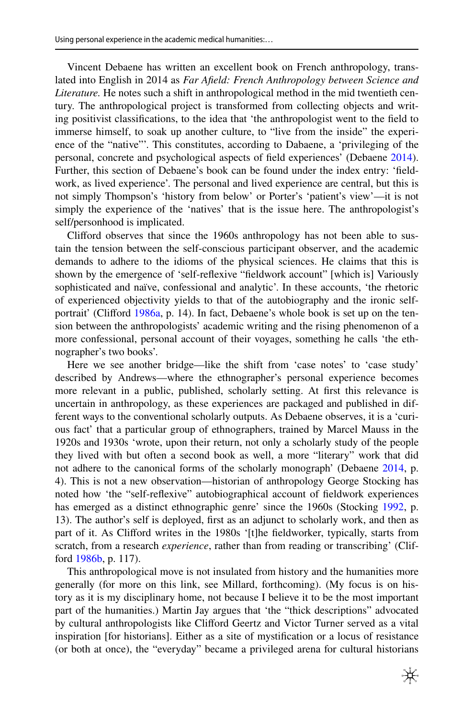Vincent Debaene has written an excellent book on French anthropology, translated into English in 2014 as *Far Afield: French Anthropology between Science and Literature.* He notes such a shift in anthropological method in the mid twentieth century. The anthropological project is transformed from collecting objects and writing positivist classiications, to the idea that 'the anthropologist went to the ield to immerse himself, to soak up another culture, to "live from the inside" the experience of the "native"'. This constitutes, according to Dabaene, a 'privileging of the personal, concrete and psychological aspects of ield experiences' (Debaene [2014\)](#page-13-22). Further, this section of Debaene's book can be found under the index entry: 'fieldwork, as lived experience'. The personal and lived experience are central, but this is not simply Thompson's 'history from below' or Porter's 'patient's view'—it is not simply the experience of the 'natives' that is the issue here. The anthropologist's self/personhood is implicated.

Cliford observes that since the 1960s anthropology has not been able to sustain the tension between the self-conscious participant observer, and the academic demands to adhere to the idioms of the physical sciences. He claims that this is shown by the emergence of 'self-relexive "ieldwork account" [which is] Variously sophisticated and naïve, confessional and analytic'. In these accounts, 'the rhetoric of experienced objectivity yields to that of the autobiography and the ironic self-portrait' (Clifford [1986a,](#page-13-21) p. 14). In fact, Debaene's whole book is set up on the tension between the anthropologists' academic writing and the rising phenomenon of a more confessional, personal account of their voyages, something he calls 'the ethnographer's two books'.

Here we see another bridge—like the shift from 'case notes' to 'case study' described by Andrews—where the ethnographer's personal experience becomes more relevant in a public, published, scholarly setting. At first this relevance is uncertain in anthropology, as these experiences are packaged and published in different ways to the conventional scholarly outputs. As Debaene observes, it is a 'curious fact' that a particular group of ethnographers, trained by Marcel Mauss in the 1920s and 1930s 'wrote, upon their return, not only a scholarly study of the people they lived with but often a second book as well, a more "literary" work that did not adhere to the canonical forms of the scholarly monograph' (Debaene [2014,](#page-13-22) p. 4). This is not a new observation—historian of anthropology George Stocking has noted how 'the "self-relexive" autobiographical account of ieldwork experiences has emerged as a distinct ethnographic genre' since the 1960s (Stocking [1992,](#page-14-9) p. 13). The author's self is deployed, first as an adjunct to scholarly work, and then as part of it. As Cliford writes in the 1980s '[t]he ieldworker, typically, starts from scratch, from a research *experience*, rather than from reading or transcribing' (Clifford [1986b,](#page-13-23) p. 117).

This anthropological move is not insulated from history and the humanities more generally (for more on this link, see Millard, forthcoming). (My focus is on history as it is my disciplinary home, not because I believe it to be the most important part of the humanities.) Martin Jay argues that 'the "thick descriptions" advocated by cultural anthropologists like Cliford Geertz and Victor Turner served as a vital inspiration [for historians]. Either as a site of mystification or a locus of resistance (or both at once), the "everyday" became a privileged arena for cultural historians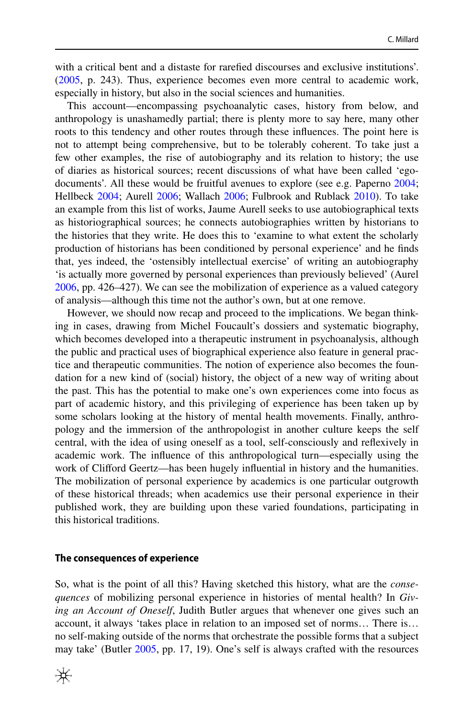with a critical bent and a distaste for rarefied discourses and exclusive institutions'. [\(2005](#page-13-24), p. 243). Thus, experience becomes even more central to academic work, especially in history, but also in the social sciences and humanities.

This account—encompassing psychoanalytic cases, history from below, and anthropology is unashamedly partial; there is plenty more to say here, many other roots to this tendency and other routes through these inluences. The point here is not to attempt being comprehensive, but to be tolerably coherent. To take just a few other examples, the rise of autobiography and its relation to history; the use of diaries as historical sources; recent discussions of what have been called 'egodocuments'. All these would be fruitful avenues to explore (see e.g. Paperno [2004;](#page-14-10) Hellbeck [2004](#page-13-25); Aurell [2006](#page-13-26); Wallach [2006;](#page-14-11) Fulbrook and Rublack [2010](#page-13-27)). To take an example from this list of works, Jaume Aurell seeks to use autobiographical texts as historiographical sources; he connects autobiographies written by historians to the histories that they write. He does this to 'examine to what extent the scholarly production of historians has been conditioned by personal experience' and he inds that, yes indeed, the 'ostensibly intellectual exercise' of writing an autobiography 'is actually more governed by personal experiences than previously believed' (Aurel [2006](#page-13-26), pp. 426–427). We can see the mobilization of experience as a valued category of analysis—although this time not the author's own, but at one remove.

However, we should now recap and proceed to the implications. We began thinking in cases, drawing from Michel Foucault's dossiers and systematic biography, which becomes developed into a therapeutic instrument in psychoanalysis, although the public and practical uses of biographical experience also feature in general practice and therapeutic communities. The notion of experience also becomes the foundation for a new kind of (social) history, the object of a new way of writing about the past. This has the potential to make one's own experiences come into focus as part of academic history, and this privileging of experience has been taken up by some scholars looking at the history of mental health movements. Finally, anthropology and the immersion of the anthropologist in another culture keeps the self central, with the idea of using oneself as a tool, self-consciously and relexively in academic work. The inluence of this anthropological turn—especially using the work of Clifford Geertz—has been hugely influential in history and the humanities. The mobilization of personal experience by academics is one particular outgrowth of these historical threads; when academics use their personal experience in their published work, they are building upon these varied foundations, participating in this historical traditions.

#### **The consequences of experience**

So, what is the point of all this? Having sketched this history, what are the *consequences* of mobilizing personal experience in histories of mental health? In *Giving an Account of Oneself*, Judith Butler argues that whenever one gives such an account, it always 'takes place in relation to an imposed set of norms… There is… no self-making outside of the norms that orchestrate the possible forms that a subject may take' (Butler [2005](#page-13-10), pp. 17, 19). One's self is always crafted with the resources

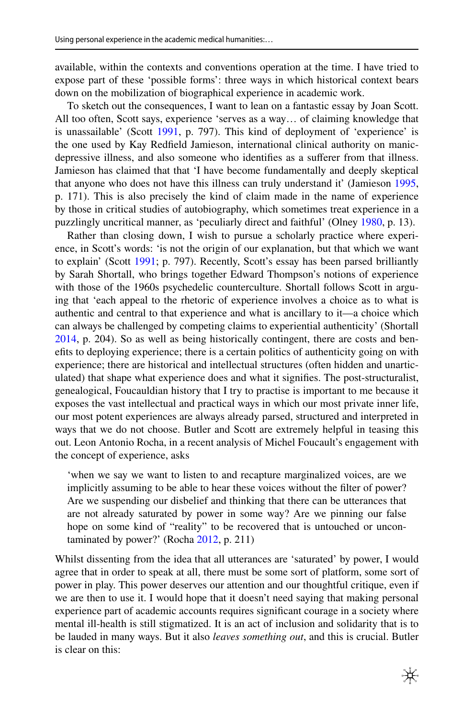available, within the contexts and conventions operation at the time. I have tried to expose part of these 'possible forms': three ways in which historical context bears down on the mobilization of biographical experience in academic work.

To sketch out the consequences, I want to lean on a fantastic essay by Joan Scott. All too often, Scott says, experience 'serves as a way… of claiming knowledge that is unassailable' (Scott [1991,](#page-14-12) p. 797). This kind of deployment of 'experience' is the one used by Kay Redield Jamieson, international clinical authority on manicdepressive illness, and also someone who identifies as a sufferer from that illness. Jamieson has claimed that that 'I have become fundamentally and deeply skeptical that anyone who does not have this illness can truly understand it' (Jamieson [1995,](#page-13-18) p. 171). This is also precisely the kind of claim made in the name of experience by those in critical studies of autobiography, which sometimes treat experience in a puzzlingly uncritical manner, as 'peculiarly direct and faithful' (Olney [1980](#page-14-13), p. 13).

Rather than closing down, I wish to pursue a scholarly practice where experience, in Scott's words: 'is not the origin of our explanation, but that which we want to explain' (Scott [1991;](#page-14-12) p. 797). Recently, Scott's essay has been parsed brilliantly by Sarah Shortall, who brings together Edward Thompson's notions of experience with those of the 1960s psychedelic counterculture. Shortall follows Scott in arguing that 'each appeal to the rhetoric of experience involves a choice as to what is authentic and central to that experience and what is ancillary to it—a choice which can always be challenged by competing claims to experiential authenticity' (Shortall [2014](#page-14-14), p. 204). So as well as being historically contingent, there are costs and benefits to deploying experience; there is a certain politics of authenticity going on with experience; there are historical and intellectual structures (often hidden and unarticulated) that shape what experience does and what it signifies. The post-structuralist, genealogical, Foucauldian history that I try to practise is important to me because it exposes the vast intellectual and practical ways in which our most private inner life, our most potent experiences are always already parsed, structured and interpreted in ways that we do not choose. Butler and Scott are extremely helpful in teasing this out. Leon Antonio Rocha, in a recent analysis of Michel Foucault's engagement with the concept of experience, asks

'when we say we want to listen to and recapture marginalized voices, are we implicitly assuming to be able to hear these voices without the filter of power? Are we suspending our disbelief and thinking that there can be utterances that are not already saturated by power in some way? Are we pinning our false hope on some kind of "reality" to be recovered that is untouched or uncontaminated by power?' (Rocha [2012,](#page-14-15) p. 211)

Whilst dissenting from the idea that all utterances are 'saturated' by power, I would agree that in order to speak at all, there must be some sort of platform, some sort of power in play. This power deserves our attention and our thoughtful critique, even if we are then to use it. I would hope that it doesn't need saying that making personal experience part of academic accounts requires significant courage in a society where mental ill-health is still stigmatized. It is an act of inclusion and solidarity that is to be lauded in many ways. But it also *leaves something out*, and this is crucial. Butler is clear on this: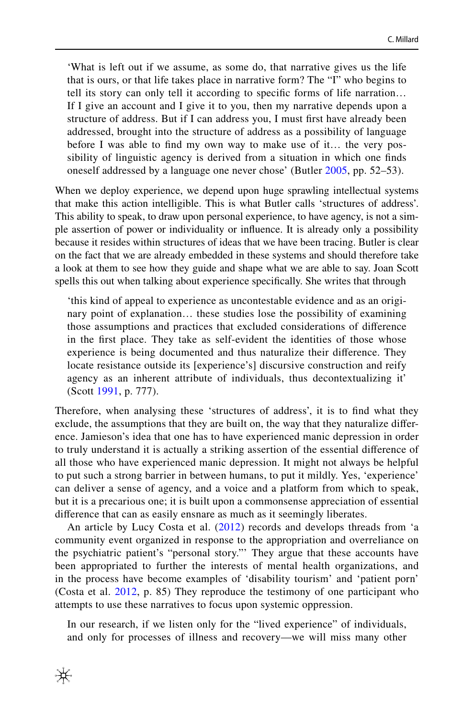'What is left out if we assume, as some do, that narrative gives us the life that is ours, or that life takes place in narrative form? The "I" who begins to tell its story can only tell it according to specific forms of life narration... If I give an account and I give it to you, then my narrative depends upon a structure of address. But if I can address you, I must first have already been addressed, brought into the structure of address as a possibility of language before I was able to find my own way to make use of it... the very possibility of linguistic agency is derived from a situation in which one inds oneself addressed by a language one never chose' (Butler [2005](#page-13-10), pp. 52–53).

When we deploy experience, we depend upon huge sprawling intellectual systems that make this action intelligible. This is what Butler calls 'structures of address'. This ability to speak, to draw upon personal experience, to have agency, is not a simple assertion of power or individuality or inluence. It is already only a possibility because it resides within structures of ideas that we have been tracing. Butler is clear on the fact that we are already embedded in these systems and should therefore take a look at them to see how they guide and shape what we are able to say. Joan Scott spells this out when talking about experience specifically. She writes that through

'this kind of appeal to experience as uncontestable evidence and as an originary point of explanation… these studies lose the possibility of examining those assumptions and practices that excluded considerations of diference in the first place. They take as self-evident the identities of those whose experience is being documented and thus naturalize their diference. They locate resistance outside its [experience's] discursive construction and reify agency as an inherent attribute of individuals, thus decontextualizing it' (Scott [1991](#page-14-12), p. 777).

Therefore, when analysing these 'structures of address', it is to ind what they exclude, the assumptions that they are built on, the way that they naturalize diference. Jamieson's idea that one has to have experienced manic depression in order to truly understand it is actually a striking assertion of the essential diference of all those who have experienced manic depression. It might not always be helpful to put such a strong barrier in between humans, to put it mildly. Yes, 'experience' can deliver a sense of agency, and a voice and a platform from which to speak, but it is a precarious one; it is built upon a commonsense appreciation of essential diference that can as easily ensnare as much as it seemingly liberates.

An article by Lucy Costa et al. ([2012](#page-13-0)) records and develops threads from 'a community event organized in response to the appropriation and overreliance on the psychiatric patient's "personal story."' They argue that these accounts have been appropriated to further the interests of mental health organizations, and in the process have become examples of 'disability tourism' and 'patient porn' (Costa et al. [2012](#page-13-0), p. 85) They reproduce the testimony of one participant who attempts to use these narratives to focus upon systemic oppression.

<span id="page-12-0"></span>In our research, if we listen only for the "lived experience" of individuals, and only for processes of illness and recovery—we will miss many other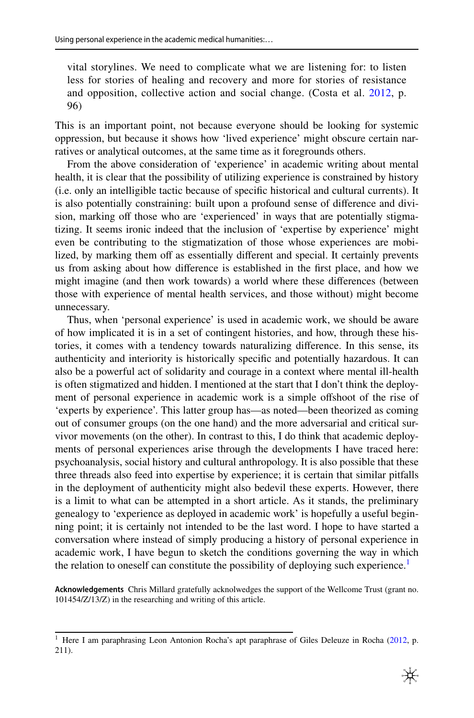vital storylines. We need to complicate what we are listening for: to listen less for stories of healing and recovery and more for stories of resistance and opposition, collective action and social change. (Costa et al. [2012,](#page-13-0) p. 96)

This is an important point, not because everyone should be looking for systemic oppression, but because it shows how 'lived experience' might obscure certain narratives or analytical outcomes, at the same time as it foregrounds others.

<span id="page-13-26"></span><span id="page-13-16"></span><span id="page-13-14"></span><span id="page-13-12"></span><span id="page-13-2"></span>From the above consideration of 'experience' in academic writing about mental health, it is clear that the possibility of utilizing experience is constrained by history (i.e. only an intelligible tactic because of speciic historical and cultural currents). It is also potentially constraining: built upon a profound sense of diference and division, marking off those who are 'experienced' in ways that are potentially stigmatizing. It seems ironic indeed that the inclusion of 'expertise by experience' might even be contributing to the stigmatization of those whose experiences are mobilized, by marking them off as essentially different and special. It certainly prevents us from asking about how difference is established in the first place, and how we might imagine (and then work towards) a world where these diferences (between those with experience of mental health services, and those without) might become unnecessary.

<span id="page-13-23"></span><span id="page-13-22"></span><span id="page-13-21"></span><span id="page-13-17"></span><span id="page-13-13"></span><span id="page-13-11"></span><span id="page-13-10"></span><span id="page-13-9"></span><span id="page-13-8"></span><span id="page-13-6"></span><span id="page-13-1"></span><span id="page-13-0"></span>Thus, when 'personal experience' is used in academic work, we should be aware of how implicated it is in a set of contingent histories, and how, through these histories, it comes with a tendency towards naturalizing diference. In this sense, its authenticity and interiority is historically specific and potentially hazardous. It can also be a powerful act of solidarity and courage in a context where mental ill-health is often stigmatized and hidden. I mentioned at the start that I don't think the deployment of personal experience in academic work is a simple ofshoot of the rise of 'experts by experience'. This latter group has—as noted—been theorized as coming out of consumer groups (on the one hand) and the more adversarial and critical survivor movements (on the other). In contrast to this, I do think that academic deployments of personal experiences arise through the developments I have traced here: psychoanalysis, social history and cultural anthropology. It is also possible that these three threads also feed into expertise by experience; it is certain that similar pitfalls in the deployment of authenticity might also bedevil these experts. However, there is a limit to what can be attempted in a short article. As it stands, the preliminary genealogy to 'experience as deployed in academic work' is hopefully a useful beginning point; it is certainly not intended to be the last word. I hope to have started a conversation where instead of simply producing a history of personal experience in academic work, I have begun to sketch the conditions governing the way in which the relation to oneself can constitute the possibility of deploying such experience.<sup>[1](#page-12-0)</sup>

<span id="page-13-27"></span><span id="page-13-25"></span><span id="page-13-24"></span><span id="page-13-19"></span><span id="page-13-18"></span><span id="page-13-15"></span><span id="page-13-7"></span><span id="page-13-5"></span><span id="page-13-3"></span>**Acknowledgements** Chris Millard gratefully acknolwedges the support of the Wellcome Trust (grant no. 101454/Z/13/Z) in the researching and writing of this article.

<span id="page-13-20"></span><span id="page-13-4"></span><sup>&</sup>lt;sup>1</sup> Here I am paraphrasing Leon Antonion Rocha's apt paraphrase of Giles Deleuze in Rocha ([2012,](#page-14-15) p. 211).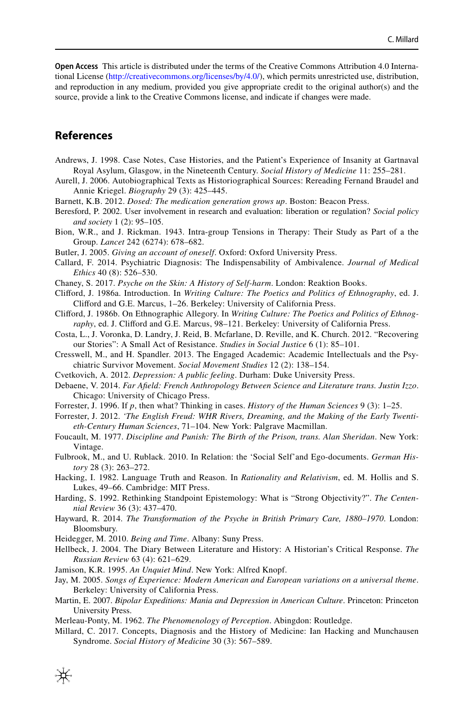<span id="page-14-2"></span>**Open Access** This article is distributed under the terms of the Creative Commons Attribution 4.0 International License (http://creativecommons.org/licenses/by/4.0/), which permits unrestricted use, distribution, and reproduction in any medium, provided you give appropriate credit to the original author(s) and the source, provide a link to the Creative Commons license, and indicate if changes were made.

## <span id="page-14-13"></span><span id="page-14-10"></span>**References**

- <span id="page-14-0"></span>Andrews, J. 1998. Case Notes, Case Histories, and the Patient's Experience of Insanity at Gartnaval Royal Asylum, Glasgow, in the Nineteenth Century. *Social History of Medicine* 11: 255–281.
- <span id="page-14-8"></span>Aurell, J. 2006. Autobiographical Texts as Historiographical Sources: Rereading Fernand Braudel and Annie Kriegel. *Biography* 29 (3): 425–445.
- Barnett, K.B. 2012. *Dosed: The medication generation grows up*. Boston: Beacon Press.
- <span id="page-14-4"></span>Beresford, P. 2002. User involvement in research and evaluation: liberation or regulation? *Social policy and society* 1 (2): 95–105.
- <span id="page-14-15"></span>Bion, W.R., and J. Rickman. 1943. Intra-group Tensions in Therapy: Their Study as Part of a the Group. *Lancet* 242 (6274): 678–682.
- <span id="page-14-12"></span>Butler, J. 2005. *Giving an account of oneself*. Oxford: Oxford University Press.
- <span id="page-14-1"></span>Callard, F. 2014. Psychiatric Diagnosis: The Indispensability of Ambivalence. *Journal of Medical Ethics* 40 (8): 526–530.
- Chaney, S. 2017. *Psyche on the Skin: A History of Self-harm*. London: Reaktion Books.
- <span id="page-14-14"></span>Cliford, J. 1986a. Introduction. In *Writing Culture: The Poetics and Politics of Ethnography*, ed. J. Cliford and G.E. Marcus, 1–26. Berkeley: University of California Press.
- <span id="page-14-3"></span>Cliford, J. 1986b. On Ethnographic Allegory. In *Writing Culture: The Poetics and Politics of Ethnography*, ed. J. Cliford and G.E. Marcus, 98–121. Berkeley: University of California Press.
- <span id="page-14-9"></span>Costa, L., J. Voronka, D. Landry, J. Reid, B. Mcfarlane, D. Reville, and K. Church. 2012. "Recovering our Stories": A Small Act of Resistance. *Studies in Social Justice* 6 (1): 85–101.
- <span id="page-14-6"></span><span id="page-14-5"></span>Cresswell, M., and H. Spandler. 2013. The Engaged Academic: Academic Intellectuals and the Psychiatric Survivor Movement. *Social Movement Studies* 12 (2): 138–154.
- <span id="page-14-7"></span>Cvetkovich, A. 2012. *Depression: A public feeling*. Durham: Duke University Press.
- <span id="page-14-11"></span>Debaene, V. 2014. *Far Afield: French Anthropology Between Science and Literature trans. Justin Izzo*. Chicago: University of Chicago Press.
- Forrester, J. 1996. If *p*, then what? Thinking in cases. *History of the Human Sciences* 9 (3): 1–25.
- Forrester, J. 2012. *'The English Freud: WHR Rivers, Dreaming, and the Making of the Early Twentieth-Century Human Sciences*, 71–104. New York: Palgrave Macmillan.
- Foucault, M. 1977. *Discipline and Punish: The Birth of the Prison, trans. Alan Sheridan*. New York: Vintage.
- Fulbrook, M., and U. Rublack. 2010. In Relation: the 'Social Self'and Ego-documents. *German History* 28 (3): 263–272.
- Hacking, I. 1982. Language Truth and Reason. In *Rationality and Relativism*, ed. M. Hollis and S. Lukes, 49–66. Cambridge: MIT Press.
- Harding, S. 1992. Rethinking Standpoint Epistemology: What is "Strong Objectivity?". *The Centennial Review* 36 (3): 437–470.
- Hayward, R. 2014. *The Transformation of the Psyche in British Primary Care, 1880–1970*. London: Bloomsbury.
- Heidegger, M. 2010. *Being and Time*. Albany: Suny Press.
- Hellbeck, J. 2004. The Diary Between Literature and History: A Historian's Critical Response. *The Russian Review* 63 (4): 621–629.
- Jamison, K.R. 1995. *An Unquiet Mind*. New York: Alfred Knopf.
- Jay, M. 2005. *Songs of Experience: Modern American and European variations on a universal theme*. Berkeley: University of California Press.
- Martin, E. 2007. *Bipolar Expeditions: Mania and Depression in American Culture*. Princeton: Princeton University Press.
- Merleau-Ponty, M. 1962. *The Phenomenology of Perception*. Abingdon: Routledge.
- Millard, C. 2017. Concepts, Diagnosis and the History of Medicine: Ian Hacking and Munchausen Syndrome. *Social History of Medicine* 30 (3): 567–589.